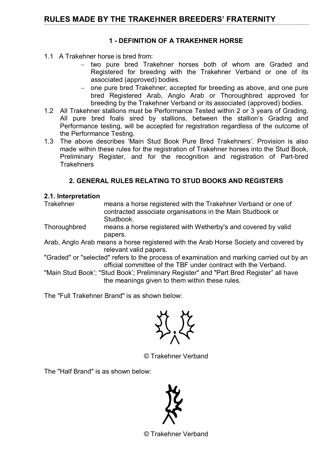## 1 - DEFINITION OF A TRAKEHNER HORSE

- 1.1 A Trakehner horse is bred from:
	- − two pure bred Trakehner horses both of whom are Graded and Registered for breeding with the Trakehner Verband or one of its associated (approved) bodies.
	- − one pure bred Trakehner, accepted for breeding as above, and one pure bred Registered Arab, Anglo Arab or Thoroughbred approved for breeding by the Trakehner Verband or its associated (approved) bodies.
- 1.2 All Trakehner stallions must be Performance Tested within 2 or 3 years of Grading. All pure bred foals sired by stallions, between the stallion's Grading and Performance testing, will be accepted for registration regardless of the outcome of the Performance Testing.
- 1.3 The above describes 'Main Stud Book Pure Bred Trakehners'. Provision is also made within these rules for the registration of Trakehner horses into the Stud Book, Preliminary Register, and for the recognition and registration of Part-bred **Trakehners**

# 2. GENERAL RULES RELATING TO STUD BOOKS AND REGISTERS

## 2.1. Interpretation

Trakehner means a horse registered with the Trakehner Verband or one of contracted associate organisations in the Main Studbook or Studbook.

- Thoroughbred means a horse registered with Wetherby's and covered by valid papers.
- Arab, Anglo Arab means a horse registered with the Arab Horse Society and covered by relevant valid papers.
- "Graded" or "selected" refers to the process of examination and marking carried out by an official committee of the TBF under contract with the Verband.
- "Main Stud Book'; "Stud Book'; Preliminary Register" and "Part Bred Register" all have the meanings given to them within these rules.

The "Full Trakehner Brand" is as shown below:

© Trakehner Verband

The "Half Brand" is as shown below:



© Trakehner Verband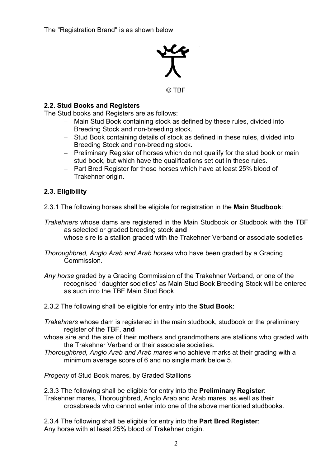

© TBF

### 2.2. Stud Books and Registers

The Stud books and Registers are as follows:

- − Main Stud Book containing stock as defined by these rules, divided into Breeding Stock and non-breeding stock.
- − Stud Book containing details of stock as defined in these rules, divided into Breeding Stock and non-breeding stock.
- − Preliminary Register of horses which do not qualify for the stud book or main stud book, but which have the qualifications set out in these rules.
- − Part Bred Register for those horses which have at least 25% blood of Trakehner origin.

## 2.3. Eligibility

2.3.1 The following horses shall be eligible for registration in the Main Studbook:

Trakehners whose dams are registered in the Main Studbook or Studbook with the TBF as selected or graded breeding stock and whose sire is a stallion graded with the Trakehner Verband or associate societies

Thoroughbred, Anglo Arab and Arab horses who have been graded by a Grading **Commission** 

- Any horse graded by a Grading Commission of the Trakehner Verband, or one of the recognised ' daughter societies' as Main Stud Book Breeding Stock will be entered as such into the TBF Main Stud Book
- 2.3.2 The following shall be eligible for entry into the **Stud Book**:
- Trakehners whose dam is registered in the main studbook, studbook or the preliminary register of the TBF, and
- whose sire and the sire of their mothers and grandmothers are stallions who graded with the Trakehner Verband or their associate societies.
- Thoroughbred, Anglo Arab and Arab mares who achieve marks at their grading with a minimum average score of 6 and no single mark below 5.

Progeny of Stud Book mares, by Graded Stallions

2.3.3 The following shall be eligible for entry into the **Preliminary Register**: Trakehner mares, Thoroughbred, Anglo Arab and Arab mares, as well as their crossbreeds who cannot enter into one of the above mentioned studbooks.

2.3.4 The following shall be eligible for entry into the **Part Bred Register**: Any horse with at least 25% blood of Trakehner origin.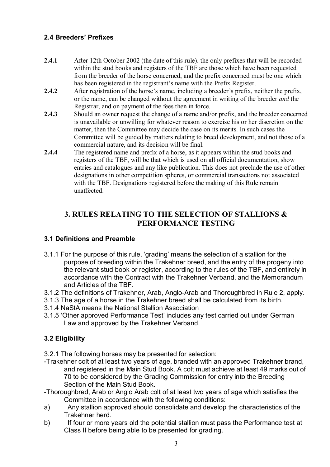## 2.4 Breeders' Prefixes

- 2.4.1 After 12th October 2002 (the date of this rule), the only prefixes that will be recorded within the stud books and registers of the TBF are those which have been requested from the breeder of the horse concerned, and the prefix concerned must be one which has been registered in the registrant's name with the Prefix Register.
- 2.4.2 After registration of the horse's name, including a breeder's prefix, neither the prefix, or the name, can be changed without the agreement in writing of the breeder and the Registrar, and on payment of the fees then in force.
- 2.4.3 Should an owner request the change of a name and/or prefix, and the breeder concerned is unavailable or unwilling for whatever reason to exercise his or her discretion on the matter, then the Committee may decide the case on its merits. In such cases the Committee will be guided by matters relating to breed development, and not those of a commercial nature, and its decision will be final.
- 2.4.4 The registered name and prefix of a horse, as it appears within the stud books and registers of the TBF, will be that which is used on all official documentation, show entries and catalogues and any like publication. This does not preclude the use of other designations in other competition spheres, or commercial transactions not associated with the TBF. Designations registered before the making of this Rule remain unaffected.

# 3. RULES RELATING TO THE SELECTION OF STALLIONS & PERFORMANCE TESTING

## 3.1 Definitions and Preamble

- 3.1.1 For the purpose of this rule, 'grading' means the selection of a stallion for the purpose of breeding within the Trakehner breed, and the entry of the progeny into the relevant stud book or register, according to the rules of the TBF, and entirely in accordance with the Contract with the Trakehner Verband, and the Memorandum and Articles of the TBF.
- 3.1.2 The definitions of Trakehner, Arab, Anglo-Arab and Thoroughbred in Rule 2, apply.
- 3.1.3 The age of a horse in the Trakehner breed shall be calculated from its birth.
- 3.1.4 NaStA means the National Stallion Association
- 3.1.5 'Other approved Performance Test' includes any test carried out under German Law and approved by the Trakehner Verband.

# 3.2 Eligibility

- 3.2.1 The following horses may be presented for selection:
- -Trakehner colt of at least two years of age, branded with an approved Trakehner brand, and registered in the Main Stud Book. A colt must achieve at least 49 marks out of 70 to be considered by the Grading Commission for entry into the Breeding Section of the Main Stud Book.
- -Thoroughbred, Arab or Anglo Arab colt of at least two years of age which satisfies the Committee in accordance with the following conditions:
- a) Any stallion approved should consolidate and develop the characteristics of the Trakehner herd.
- b) If four or more years old the potential stallion must pass the Performance test at Class II before being able to be presented for grading.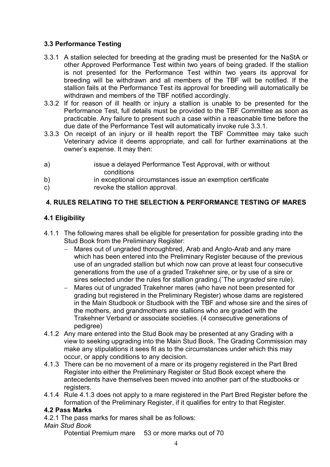## 3.3 Performance Testing

- 3.3.1 A stallion selected for breeding at the grading must be presented for the NaStA or other Approved Performance Test within two years of being graded. If the stallion is not presented for the Performance Test within two years its approval for breeding will be withdrawn and all members of the TBF will be notified. If the stallion fails at the Performance Test its approval for breeding will automatically be withdrawn and members of the TBF notified accordingly.
- 3.3.2 If for reason of ill health or injury a stallion is unable to be presented for the Performance Test, full details must be provided to the TBF Committee as soon as practicable. Any failure to present such a case within a reasonable time before the due date of the Performance Test will automatically invoke rule 3.3.1.
- 3.3.3 On receipt of an injury or ill health report the TBF Committee may take such Veterinary advice it deems appropriate, and call for further examinations at the owner's expense. It may then:
- a) issue a delayed Performance Test Approval, with or without conditions
- b) in exceptional circumstances issue an exemption certificate
- c) revoke the stallion approval.

## 4. RULES RELATING TO THE SELECTION & PERFORMANCE TESTING OF MARES

## 4.1 Eligibility

- 4.1.1 The following mares shall be eligible for presentation for possible grading into the Stud Book from the Preliminary Register:
	- Mares out of ungraded thoroughbred, Arab and Anglo-Arab and any mare which has been entered into the Preliminary Register because of the previous use of an ungraded stallion but which now can prove at least four consecutive generations from the use of a graded Trakehner sire, or by use of a sire or sires selected under the rules for stallion grading.(`The ungraded sire rule).
	- − Mares out of ungraded Trakehner mares (who have not been presented for grading but registered in the Preliminary Register) whose dams are registered in the Main Studbook or Studbook with the TBF and whose sire and the sires of the mothers, and grandmothers are stallions who are graded with the Trakehner Verband or associate societies. (4 consecutive generations of pedigree)
- 4.1.2 Any mare entered into the Stud Book may be presented at any Grading with a view to seeking upgrading into the Main Stud Book. The Grading Commission may make any stipulations it sees fit as to the circumstances under which this may occur, or apply conditions to any decision.
- 4.1.3 There can be no movement of a mare or its progeny registered in the Part Bred Register into either the Preliminary Register or Stud Book except where the antecedents have themselves been moved into another part of the studbooks or registers.
- 4.1.4 Rule 4.1.3 does not apply to a mare registered in the Part Bred Register before the formation of the Preliminary Register, if it qualifies for entry to that Register.

#### 4.2 Pass Marks

- 4.2.1 The pass marks for mares shall be as follows:
- Main Stud Book

Potential Premium mare 53 or more marks out of 70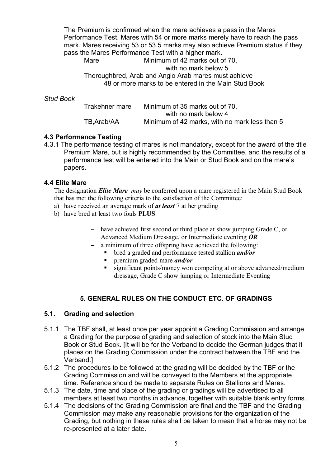The Premium is confirmed when the mare achieves a pass in the Mares Performance Test. Mares with 54 or more marks merely have to reach the pass mark. Mares receiving 53 or 53.5 marks may also achieve Premium status if they pass the Mares Performance Test with a higher mark.

Mare Minimum of 42 marks out of 70. with no mark below 5 Thoroughbred, Arab and Anglo Arab mares must achieve 48 or more marks to be entered in the Main Stud Book

#### Stud Book

 Trakehner mare Minimum of 35 marks out of 70, with no mark below 4 TB,Arab/AA Minimum of 42 marks, with no mark less than 5

### 4.3 Performance Testing

4.3.1 The performance testing of mares is not mandatory, except for the award of the title Premium Mare, but is highly recommended by the Committee, and the results of a performance test will be entered into the Main or Stud Book and on the mare's papers.

### 4.4 Elite Mare

The designation *Elite Mare may* be conferred upon a mare registered in the Main Stud Book that has met the following criteria to the satisfaction of the Committee:

- a) have received an average mark of  $at$  least  $7$  at her grading
- b) have bred at least two foals PLUS
	- − have achieved first second or third place at show jumping Grade C, or Advanced Medium Dressage, or Intermediate eventing OR
	- − a minimum of three offspring have achieved the following:
		- bred a graded and performance tested stallion and/or
		- **P** premium graded mare *and/or*
		- significant points/money won competing at or above advanced/medium dressage, Grade C show jumping or Intermediate Eventing

## 5. GENERAL RULES ON THE CONDUCT ETC. OF GRADINGS

### 5.1. Grading and selection

- 5.1.1 The TBF shall, at least once per year appoint a Grading Commission and arrange a Grading for the purpose of grading and selection of stock into the Main Stud Book or Stud Book. [It will be for the Verband to decide the German judges that it places on the Grading Commission under the contract between the TBF and the Verband.]
- 5.1.2 The procedures to be followed at the grading will be decided by the TBF or the Grading Commission and will be conveyed to the Members at the appropriate time. Reference should be made to separate Rules on Stallions and Mares.
- 5.1.3 The date, time and place of the grading or gradings will be advertised to all members at least two months in advance, together with suitable blank entry forms.
- 5.1.4 The decisions of the Grading Commission are final and the TBF and the Grading Commission may make any reasonable provisions for the organization of the Grading, but nothing in these rules shall be taken to mean that a horse may not be re-presented at a later date.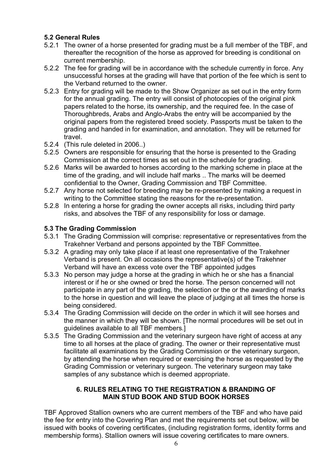## 5.2 General Rules

- 5.2.1 The owner of a horse presented for grading must be a full member of the TBF, and thereafter the recognition of the horse as approved for breeding is conditional on current membership.
- 5.2.2 The fee for grading will be in accordance with the schedule currently in force. Any unsuccessful horses at the grading will have that portion of the fee which is sent to the Verband returned to the owner.
- 5.2.3 Entry for grading will be made to the Show Organizer as set out in the entry form for the annual grading. The entry will consist of photocopies of the original pink papers related to the horse, its ownership, and the required fee. In the case of Thoroughbreds, Arabs and Anglo-Arabs the entry will be accompanied by the original papers from the registered breed society. Passports must be taken to the grading and handed in for examination, and annotation. They will be returned for travel.
- 5.2.4 (This rule deleted in 2006..)
- 5.2.5 Owners are responsible for ensuring that the horse is presented to the Grading Commission at the correct times as set out in the schedule for grading.
- 5.2.6 Marks will be awarded to horses according to the marking scheme in place at the time of the grading, and will include half marks .. The marks will be deemed confidential to the Owner, Grading Commission and TBF Committee.
- 5.2.7 Any horse not selected for breeding may be re-presented by making a request in writing to the Committee stating the reasons for the re-presentation.
- 5.2.8 In entering a horse for grading the owner accepts all risks, including third party risks, and absolves the TBF of any responsibility for loss or damage.

# 5.3 The Grading Commission

- 5.3.1 The Grading Commission will comprise: representative or representatives from the Trakehner Verband and persons appointed by the TBF Committee.
- 5.3.2 A grading may only take place if at least one representative of the Trakehner Verband is present. On all occasions the representative(s) of the Trakehner Verband will have an excess vote over the TBF appointed judges
- 5.3.3 No person may judge a horse at the grading in which he or she has a financial interest or if he or she owned or bred the horse. The person concerned will not participate in any part of the grading, the selection or the or the awarding of marks to the horse in question and will leave the place of judging at all times the horse is being considered.
- 5.3.4 The Grading Commission will decide on the order in which it will see horses and the manner in which they will be shown. [The normal procedures will be set out in guidelines available to all TBF members.]
- 5.3.5 The Grading Commission and the veterinary surgeon have right of access at any time to all horses at the place of grading. The owner or their representative must facilitate all examinations by the Grading Commission or the veterinary surgeon, by attending the horse when required or exercising the horse as requested by the Grading Commission or veterinary surgeon. The veterinary surgeon may take samples of any substance which is deemed appropriate.

## 6. RULES RELATING TO THE REGISTRATION & BRANDING OF MAIN STUD BOOK AND STUD BOOK HORSES

TBF Approved Stallion owners who are current members of the TBF and who have paid the fee for entry into the Covering Plan and met the requirements set out below, will be issued with books of covering certificates, (including registration forms, identity forms and membership forms). Stallion owners will issue covering certificates to mare owners.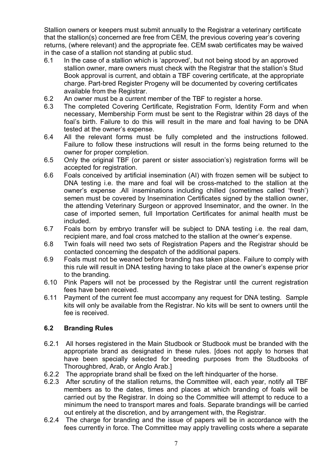Stallion owners or keepers must submit annually to the Registrar a veterinary certificate that the stallion(s) concerned are free from CEM, the previous covering year's covering returns, (where relevant) and the appropriate fee. CEM swab certificates may be waived in the case of a stallion not standing at public stud.

- 6.1 In the case of a stallion which is 'approved', but not being stood by an approved stallion owner, mare owners must check with the Registrar that the stallion's Stud Book approval is current, and obtain a TBF covering certificate, at the appropriate charge. Part-bred Register Progeny will be documented by covering certificates available from the Registrar.
- 6.2 An owner must be a current member of the TBF to register a horse.
- 6.3 The completed Covering Certificate, Registration Form, Identity Form and when necessary, Membership Form must be sent to the Registrar within 28 days of the foal's birth. Failure to do this will result in the mare and foal having to be DNA tested at the owner's expense.
- 6.4 All the relevant forms must be fully completed and the instructions followed. Failure to follow these instructions will result in the forms being returned to the owner for proper completion.
- 6.5 Only the original TBF (or parent or sister association's) registration forms will be accepted for registration.
- 6.6 Foals conceived by artificial insemination (AI) with frozen semen will be subject to DNA testing i.e. the mare and foal will be cross-matched to the stallion at the owner's expense .All inseminations including chilled (sometimes called 'fresh') semen must be covered by Insemination Certificates signed by the stallion owner, the attending Veterinary Surgeon or approved Inseminator, and the owner. In the case of imported semen, full Importation Certificates for animal health must be included.
- 6.7 Foals born by embryo transfer will be subject to DNA testing i.e. the real dam, recipient mare, and foal cross matched to the stallion at the owner's expense.
- 6.8 Twin foals will need two sets of Registration Papers and the Registrar should be contacted concerning the despatch of the additional papers.
- 6.9 Foals must not be weaned before branding has taken place. Failure to comply with this rule will result in DNA testing having to take place at the owner's expense prior to the branding.
- 6.10 Pink Papers will not be processed by the Registrar until the current registration fees have been received.
- 6.11 Payment of the current fee must accompany any request for DNA testing. Sample kits will only be available from the Registrar. No kits will be sent to owners until the fee is received.

## 6.2 Branding Rules

- 6.2.1 All horses registered in the Main Studbook or Studbook must be branded with the appropriate brand as designated in these rules. [does not apply to horses that have been specially selected for breeding purposes from the Studbooks of Thoroughbred, Arab, or Anglo Arab.]
- 6.2.2 The appropriate brand shall be fixed on the left hindquarter of the horse.
- 6.2.3 After scrutiny of the stallion returns, the Committee will, each year, notify all TBF members as to the dates, times and places at which branding of foals will be carried out by the Registrar. In doing so the Committee will attempt to reduce to a minimum the need to transport mares and foals. Separate brandings will be carried out entirely at the discretion, and by arrangement with, the Registrar.
- 6.2.4 The charge for branding and the issue of papers will be in accordance with the fees currently in force. The Committee may apply travelling costs where a separate